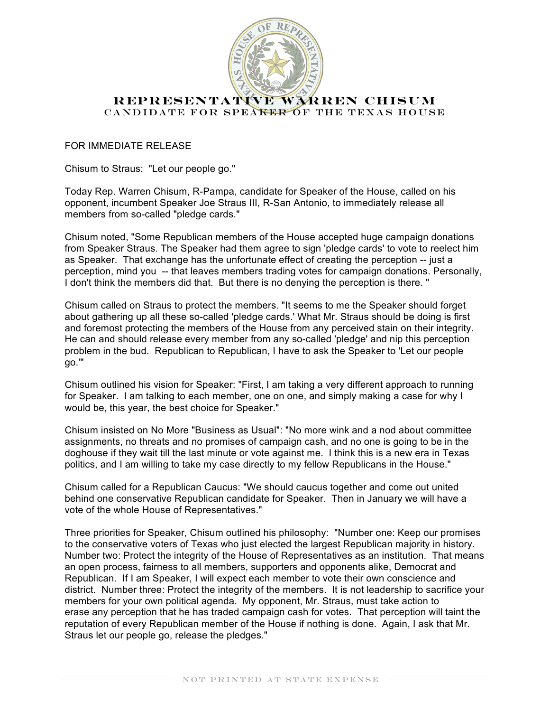

## **REPRESENTATIVE WARREN CHISUM** CANDIDATE FOR SPEAKER OF THE TEXAS HOUSE

## FOR IMMEDIATE RELEASE

Chisum to Straus: "Let our people go."

Today Rep. Warren Chisum, R-Pampa, candidate for Speaker of the House, called on his opponent, incumbent Speaker Joe Straus III, R-San Antonio, to immediately release all members from so-called "pledge cards."

Chisum noted, "Some Republican members of the House accepted huge campaign donations from Speaker Straus. The Speaker had them agree to sign 'pledge cards' to vote to reelect him as Speaker. That exchange has the unfortunate effect of creating the perception -- just a perception, mind you -- that leaves members trading votes for campaign donations. Personally, I don't think the members did that. But there is no denying the perception is there. "

Chisum called on Straus to protect the members. "It seems to me the Speaker should forget about gathering up all these so-called 'pledge cards.' What Mr. Straus should be doing is first and foremost protecting the members of the House from any perceived stain on their integrity. He can and should release every member from any so-called 'pledge' and nip this perception problem in the bud. Republican to Republican, I have to ask the Speaker to 'Let our people go.'"

Chisum outlined his vision for Speaker: "First, I am taking a very different approach to running for Speaker. I am talking to each member, one on one, and simply making a case for why I would be, this year, the best choice for Speaker."

Chisum insisted on No More "Business as Usual": "No more wink and a nod about committee assignments, no threats and no promises of campaign cash, and no one is going to be in the doghouse if they wait till the last minute or vote against me. I think this is a new era in Texas politics, and I am willing to take my case directly to my fellow Republicans in the House."

Chisum called for a Republican Caucus: "We should caucus together and come out united behind one conservative Republican candidate for Speaker. Then in January we will have a vote of the whole House of Representatives."

Three priorities for Speaker, Chisum outlined his philosophy: "Number one: Keep our promises to the conservative voters of Texas who just elected the largest Republican majority in history. Number two: Protect the integrity of the House of Representatives as an institution. That means an open process, fairness to all members, supporters and opponents alike, Democrat and Republican. If I am Speaker, I will expect each member to vote their own conscience and district. Number three: Protect the integrity of the members. It is not leadership to sacrifice your members for your own political agenda. My opponent, Mr. Straus, must take action to erase any perception that he has traded campaign cash for votes. That perception will taint the reputation of every Republican member of the House if nothing is done. Again, I ask that Mr. Straus let our people go, release the pledges."